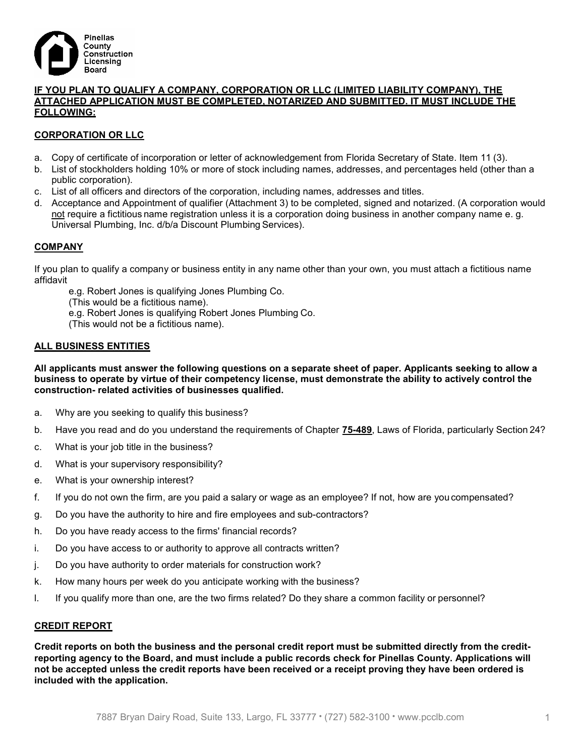

#### IF YOU PLAN TO QUALIFY A COMPANY, CORPORATION OR LLC (LIMITED LIABILITY COMPANY), THE ATTACHED APPLICATION MUST BE COMPLETED, NOTARIZED AND SUBMITTED. IT MUST INCLUDE THE FOLLOWING:

# CORPORATION OR LLC

- a. Copy of certificate of incorporation or letter of acknowledgement from Florida Secretary of State. Item 11 (3).
- b. List of stockholders holding 10% or more of stock including names, addresses, and percentages held (other than a public corporation).
- c. List of all officers and directors of the corporation, including names, addresses and titles.
- d. Acceptance and Appointment of qualifier (Attachment 3) to be completed, signed and notarized. (A corporation would not require a fictitious name registration unless it is a corporation doing business in another company name e. g. Universal Plumbing, Inc. d/b/a Discount Plumbing Services).

#### COMPANY

If you plan to qualify a company or business entity in any name other than your own, you must attach a fictitious name affidavit

e.g. Robert Jones is qualifying Jones Plumbing Co. (This would be a fictitious name). e.g. Robert Jones is qualifying Robert Jones Plumbing Co. (This would not be a fictitious name).

#### ALL BUSINESS ENTITIES

All applicants must answer the following questions on a separate sheet of paper. Applicants seeking to allow a business to operate by virtue of their competency license, must demonstrate the ability to actively control the construction- related activities of businesses qualified.

- a. Why are you seeking to qualify this business?
- b. Have you read and do you understand the requirements of Chapter 75-489, Laws of Florida, particularly Section 24?
- c. What is your job title in the business?
- d. What is your supervisory responsibility?
- e. What is your ownership interest?
- f. If you do not own the firm, are you paid a salary or wage as an employee? If not, how are you compensated?
- g. Do you have the authority to hire and fire employees and sub-contractors?
- h. Do you have ready access to the firms' financial records?
- i. Do you have access to or authority to approve all contracts written?
- j. Do you have authority to order materials for construction work?
- k. How many hours per week do you anticipate working with the business?
- l. If you qualify more than one, are the two firms related? Do they share a common facility or personnel?

#### CREDIT REPORT

Credit reports on both the business and the personal credit report must be submitted directly from the creditreporting agency to the Board, and must include a public records check for Pinellas County. Applications will not be accepted unless the credit reports have been received or a receipt proving they have been ordered is included with the application.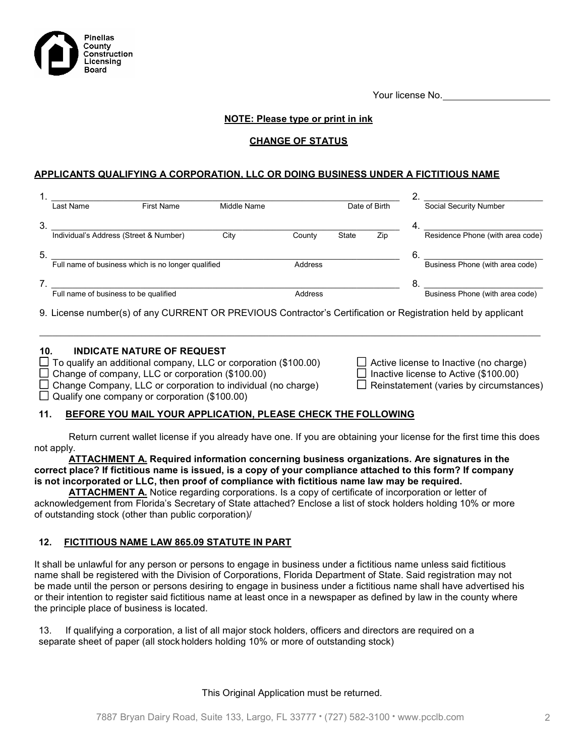Your license No.

# NOTE: Please type or print in ink

#### CHANGE OF STATUS

#### APPLICANTS QUALIFYING A CORPORATION, LLC OR DOING BUSINESS UNDER A FICTITIOUS NAME

|    | Last Name                              | <b>First Name</b>                                  | Middle Name |         |              | Date of Birth |    | Social Security Number           |
|----|----------------------------------------|----------------------------------------------------|-------------|---------|--------------|---------------|----|----------------------------------|
| 3. |                                        |                                                    |             |         |              |               | 4  |                                  |
|    | Individual's Address (Street & Number) |                                                    | City        | County  | <b>State</b> | Zip           |    | Residence Phone (with area code) |
| 5. |                                        |                                                    |             |         |              |               | 6. |                                  |
|    |                                        | Full name of business which is no longer qualified |             | Address |              |               |    | Business Phone (with area code)  |
|    |                                        |                                                    |             |         |              |               | -8 |                                  |
|    | Full name of business to be qualified  |                                                    |             | Address |              |               |    | Business Phone (with area code)  |

9. License number(s) of any CURRENT OR PREVIOUS Contractor's Certification or Registration held by applicant

 $\_$  , and the state of the state of the state of the state of the state of the state of the state of the state of the state of the state of the state of the state of the state of the state of the state of the state of the

# 10. INDICATE NATURE OF REQUEST

Pinellas County oou....<br>Construction Licensing Board

 $\Box$  To qualify an additional company, LLC or corporation (\$100.00)

 $\Box$  Change of company, LLC or corporation (\$100.00)

 $\Box$  Change Company, LLC or corporation to individual (no charge)  $\Box$  Reinstatement (varies by circumstances)

 $\Box$  Qualify one company or corporation (\$100.00)

|  | $\Box$ Active license to Inactive (no charge)  |
|--|------------------------------------------------|
|  | $\Box$ Inactive license to Active (\$100.00)   |
|  | $\Box$ Reinstatement (varies by circumstances) |

# 11. BEFORE YOU MAIL YOUR APPLICATION, PLEASE CHECK THE FOLLOWING

Return current wallet license if you already have one. If you are obtaining your license for the first time this does not apply.

ATTACHMENT A. Required information concerning business organizations. Are signatures in the correct place? If fictitious name is issued, is a copy of your compliance attached to this form? If company is not incorporated or LLC, then proof of compliance with fictitious name law may be required.

ATTACHMENT A. Notice regarding corporations. Is a copy of certificate of incorporation or letter of acknowledgement from Florida's Secretary of State attached? Enclose a list of stock holders holding 10% or more of outstanding stock (other than public corporation)/

#### 12. FICTITIOUS NAME LAW 865.09 STATUTE IN PART

It shall be unlawful for any person or persons to engage in business under a fictitious name unless said fictitious name shall be registered with the Division of Corporations, Florida Department of State. Said registration may not be made until the person or persons desiring to engage in business under a fictitious name shall have advertised his or their intention to register said fictitious name at least once in a newspaper as defined by law in the county where the principle place of business is located.

13. If qualifying a corporation, a list of all major stock holders, officers and directors are required on a separate sheet of paper (all stock holders holding 10% or more of outstanding stock)

This Original Application must be returned.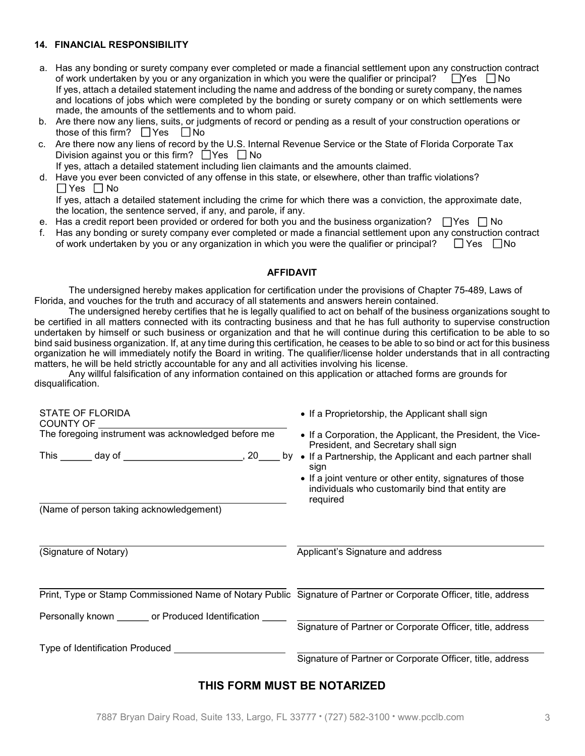# 14. FINANCIAL RESPONSIBILITY

- a. Has any bonding or surety company ever completed or made a financial settlement upon any construction contract of work undertaken by you or any organization in which you were the qualifier or principal?  $\Box$  Yes  $\Box$  No If yes, attach a detailed statement including the name and address of the bonding or surety company, the names and locations of jobs which were completed by the bonding or surety company or on which settlements were made, the amounts of the settlements and to whom paid.
- b. Are there now any liens, suits, or judgments of record or pending as a result of your construction operations or those of this firm?  $\Box$  Yes  $\Box$  No
- c. Are there now any liens of record by the U.S. Internal Revenue Service or the State of Florida Corporate Tax Division against you or this firm?  $\Box$  Yes  $\Box$  No

If yes, attach a detailed statement including lien claimants and the amounts claimed.

d. Have you ever been convicted of any offense in this state, or elsewhere, other than traffic violations?  $\Box$  Yes  $\Box$  No

If yes, attach a detailed statement including the crime for which there was a conviction, the approximate date, the location, the sentence served, if any, and parole, if any.

- e. Has a credit report been provided or ordered for both you and the business organization?  $\Box$  Yes  $\Box$  No
- f. Has any bonding or surety company ever completed or made a financial settlement upon any construction contract of work undertaken by you or any organization in which you were the qualifier or principal?  $\Box$  Yes  $\Box$  N of work undertaken by you or any organization in which you were the qualifier or principal?

### AFFIDAVIT

The undersigned hereby makes application for certification under the provisions of Chapter 75-489, Laws of Florida, and vouches for the truth and accuracy of all statements and answers herein contained.

The undersigned hereby certifies that he is legally qualified to act on behalf of the business organizations sought to be certified in all matters connected with its contracting business and that he has full authority to supervise construction undertaken by himself or such business or organization and that he will continue during this certification to be able to so bind said business organization. If, at any time during this certification, he ceases to be able to so bind or act for this business organization he will immediately notify the Board in writing. The qualifier/license holder understands that in all contracting matters, he will be held strictly accountable for any and all activities involving his license.

Any willful falsification of any information contained on this application or attached forms are grounds for disqualification.

| <b>STATE OF FLORIDA</b><br><b>COUNTY OF</b>                                                                       | • If a Proprietorship, the Applicant shall sign                                                                           |
|-------------------------------------------------------------------------------------------------------------------|---------------------------------------------------------------------------------------------------------------------------|
| The foregoing instrument was acknowledged before me                                                               | • If a Corporation, the Applicant, the President, the Vice-<br>President, and Secretary shall sign                        |
| This _______ day of _________________________<br>,20                                                              | by • If a Partnership, the Applicant and each partner shall<br>sign                                                       |
|                                                                                                                   | • If a joint venture or other entity, signatures of those<br>individuals who customarily bind that entity are<br>required |
| (Name of person taking acknowledgement)                                                                           |                                                                                                                           |
| (Signature of Notary)                                                                                             | Applicant's Signature and address                                                                                         |
|                                                                                                                   |                                                                                                                           |
| Print, Type or Stamp Commissioned Name of Notary Public Signature of Partner or Corporate Officer, title, address |                                                                                                                           |
| Personally known _______ or Produced Identification _                                                             |                                                                                                                           |
|                                                                                                                   | Signature of Partner or Corporate Officer, title, address                                                                 |
| Type of Identification Produced                                                                                   |                                                                                                                           |
|                                                                                                                   | Signature of Partner or Corporate Officer, title, address                                                                 |

# THIS FORM MUST BE NOTARIZED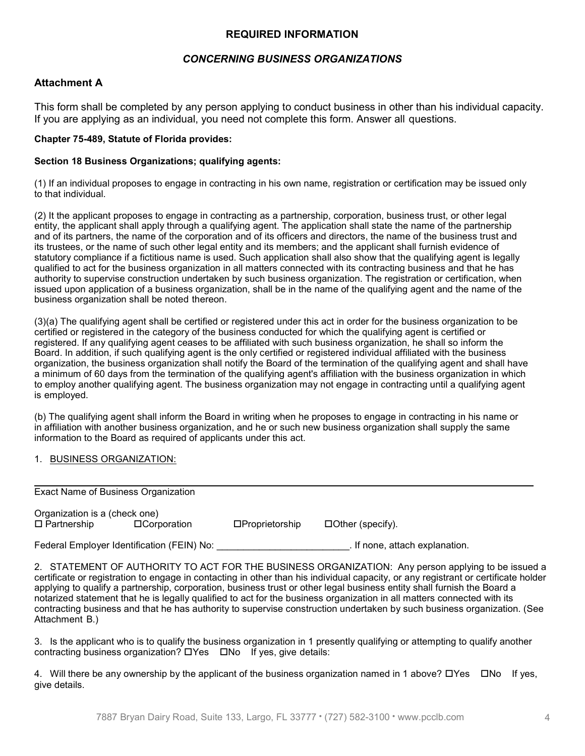# REQUIRED INFORMATION

# CONCERNING BUSINESS ORGANIZATIONS

### Attachment A

This form shall be completed by any person applying to conduct business in other than his individual capacity. If you are applying as an individual, you need not complete this form. Answer all questions.

#### Chapter 75-489, Statute of Florida provides:

#### Section 18 Business Organizations; qualifying agents:

(1) If an individual proposes to engage in contracting in his own name, registration or certification may be issued only to that individual.

(2) It the applicant proposes to engage in contracting as a partnership, corporation, business trust, or other legal entity, the applicant shall apply through a qualifying agent. The application shall state the name of the partnership and of its partners, the name of the corporation and of its officers and directors, the name of the business trust and its trustees, or the name of such other legal entity and its members; and the applicant shall furnish evidence of statutory compliance if a fictitious name is used. Such application shall also show that the qualifying agent is legally qualified to act for the business organization in all matters connected with its contracting business and that he has authority to supervise construction undertaken by such business organization. The registration or certification, when issued upon application of a business organization, shall be in the name of the qualifying agent and the name of the business organization shall be noted thereon.

(3)(a) The qualifying agent shall be certified or registered under this act in order for the business organization to be certified or registered in the category of the business conducted for which the qualifying agent is certified or registered. If any qualifying agent ceases to be affiliated with such business organization, he shall so inform the Board. In addition, if such qualifying agent is the only certified or registered individual affiliated with the business organization, the business organization shall notify the Board of the termination of the qualifying agent and shall have a minimum of 60 days from the termination of the qualifying agent's affiliation with the business organization in which to employ another qualifying agent. The business organization may not engage in contracting until a qualifying agent is employed.

(b) The qualifying agent shall inform the Board in writing when he proposes to engage in contracting in his name or in affiliation with another business organization, and he or such new business organization shall supply the same information to the Board as required of applicants under this act.

1. BUSINESS ORGANIZATION:

| Exact Name of Business Organization                 |                                            |                       |                                |  |  |
|-----------------------------------------------------|--------------------------------------------|-----------------------|--------------------------------|--|--|
| Organization is a (check one)<br>$\Box$ Partnership | □Corporation                               | $\Box$ Proprietorship | $\Box$ Other (specify).        |  |  |
|                                                     | Federal Employer Identification (FEIN) No: |                       | . If none, attach explanation. |  |  |

2. STATEMENT OF AUTHORITY TO ACT FOR THE BUSINESS ORGANIZATION: Any person applying to be issued a certificate or registration to engage in contacting in other than his individual capacity, or any registrant or certificate holder applying to qualify a partnership, corporation, business trust or other legal business entity shall furnish the Board a notarized statement that he is legally qualified to act for the business organization in all matters connected with its contracting business and that he has authority to supervise construction undertaken by such business organization. (See Attachment B.)

3. Is the applicant who is to qualify the business organization in 1 presently qualifying or attempting to qualify another contracting business organization?  $\Box$  Yes  $\Box$  No If yes, give details:

4. Will there be any ownership by the applicant of the business organization named in 1 above?  $\Box$  Yes  $\Box$  No If yes, give details.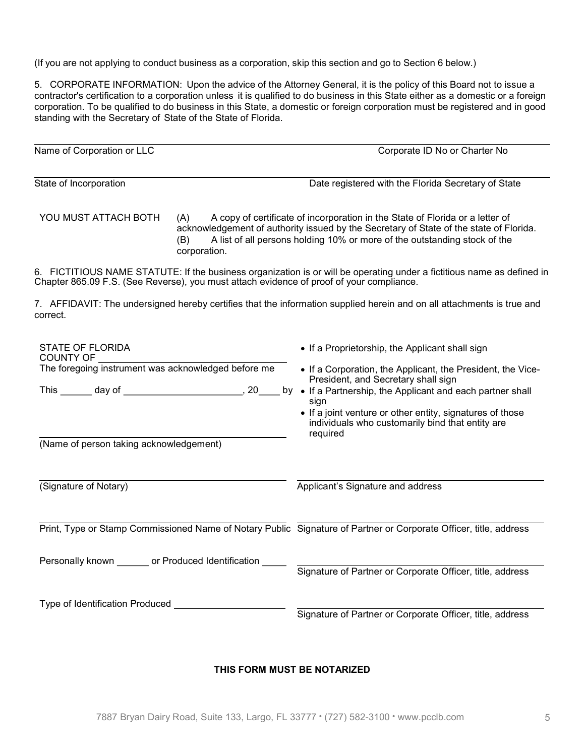(If you are not applying to conduct business as a corporation, skip this section and go to Section 6 below.)

5. CORPORATE INFORMATION: Upon the advice of the Attorney General, it is the policy of this Board not to issue a contractor's certification to a corporation unless it is qualified to do business in this State either as a domestic or a foreign corporation. To be qualified to do business in this State, a domestic or foreign corporation must be registered and in good standing with the Secretary of State of the State of Florida.

| Name of Corporation or LLC                                                                                                         | Corporate ID No or Charter No                                                                                                                                                                                                                                                              |
|------------------------------------------------------------------------------------------------------------------------------------|--------------------------------------------------------------------------------------------------------------------------------------------------------------------------------------------------------------------------------------------------------------------------------------------|
| State of Incorporation                                                                                                             | Date registered with the Florida Secretary of State                                                                                                                                                                                                                                        |
| YOU MUST ATTACH BOTH<br>(A)<br>(B)<br>corporation.                                                                                 | A copy of certificate of incorporation in the State of Florida or a letter of<br>acknowledgement of authority issued by the Secretary of State of the state of Florida.<br>A list of all persons holding 10% or more of the outstanding stock of the                                       |
| Chapter 865.09 F.S. (See Reverse), you must attach evidence of proof of your compliance.                                           | 6. FICTITIOUS NAME STATUTE: If the business organization is or will be operating under a fictitious name as defined in                                                                                                                                                                     |
| 7. AFFIDAVIT: The undersigned hereby certifies that the information supplied herein and on all attachments is true and<br>correct. |                                                                                                                                                                                                                                                                                            |
| STATE OF FLORIDA<br>COUNTY OF<br>The foregoing instrument was acknowledged before me<br>(Name of person taking acknowledgement)    | • If a Proprietorship, the Applicant shall sign<br>• If a Corporation, the Applicant, the President, the Vice-<br>President, and Secretary shall sign<br>sign<br>• If a joint venture or other entity, signatures of those<br>individuals who customarily bind that entity are<br>required |
| (Signature of Notary)                                                                                                              | Applicant's Signature and address                                                                                                                                                                                                                                                          |
| Print, Type or Stamp Commissioned Name of Notary Public Signature of Partner or Corporate Officer, title, address                  |                                                                                                                                                                                                                                                                                            |
| Personally known _______ or Produced Identification _____                                                                          | Signature of Partner or Corporate Officer, title, address                                                                                                                                                                                                                                  |
| Type of Identification Produced                                                                                                    | Signature of Partner or Corporate Officer, title, address                                                                                                                                                                                                                                  |

# THIS FORM MUST BE NOTARIZED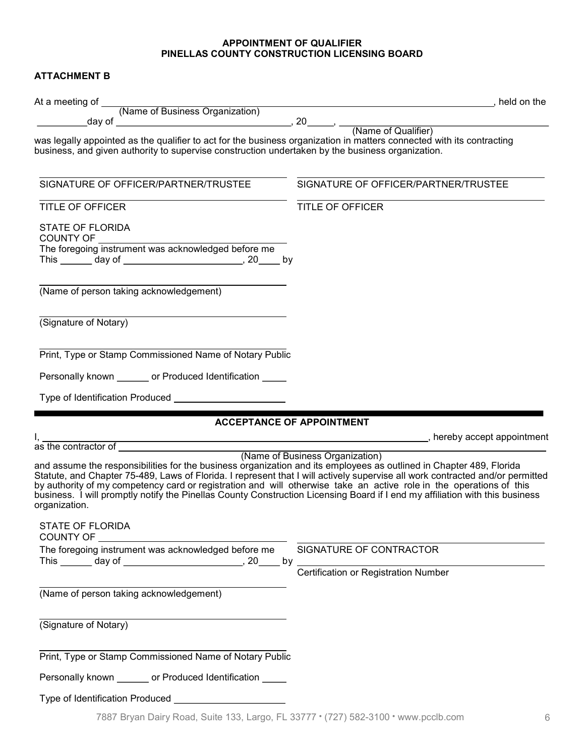#### APPOINTMENT OF QUALIFIER PINELLAS COUNTY CONSTRUCTION LICENSING BOARD

# ATTACHMENT B

| was legally appointed as the qualifier to act for the business organization in matters connected with its contracting<br>business, and given authority to supervise construction undertaken by the business organization.                                                                                                                                                                                                                                                                                                    |                                             |
|------------------------------------------------------------------------------------------------------------------------------------------------------------------------------------------------------------------------------------------------------------------------------------------------------------------------------------------------------------------------------------------------------------------------------------------------------------------------------------------------------------------------------|---------------------------------------------|
| SIGNATURE OF OFFICER/PARTNER/TRUSTEE                                                                                                                                                                                                                                                                                                                                                                                                                                                                                         | SIGNATURE OF OFFICER/PARTNER/TRUSTEE        |
| <b>TITLE OF OFFICER</b>                                                                                                                                                                                                                                                                                                                                                                                                                                                                                                      | TITLE OF OFFICER                            |
| STATE OF FLORIDA                                                                                                                                                                                                                                                                                                                                                                                                                                                                                                             |                                             |
| This _______ day of _________________________________, 20_____ by                                                                                                                                                                                                                                                                                                                                                                                                                                                            |                                             |
| (Name of person taking acknowledgement)                                                                                                                                                                                                                                                                                                                                                                                                                                                                                      |                                             |
| (Signature of Notary)                                                                                                                                                                                                                                                                                                                                                                                                                                                                                                        |                                             |
| Print, Type or Stamp Commissioned Name of Notary Public                                                                                                                                                                                                                                                                                                                                                                                                                                                                      |                                             |
| Personally known _______ or Produced Identification _____                                                                                                                                                                                                                                                                                                                                                                                                                                                                    |                                             |
|                                                                                                                                                                                                                                                                                                                                                                                                                                                                                                                              |                                             |
| <b>ACCEPTANCE OF APPOINTMENT</b>                                                                                                                                                                                                                                                                                                                                                                                                                                                                                             |                                             |
|                                                                                                                                                                                                                                                                                                                                                                                                                                                                                                                              |                                             |
| and assume the responsibilities for the business organization and its employees as outlined in Chapter 489, Florida<br>Statute, and Chapter 75-489, Laws of Florida. I represent that I will actively supervise all work contracted and/or permitted<br>by authority of my competency card or registration and will otherwise take an active role in the operations of this<br>business. I will promptly notify the Pinellas County Construction Licensing Board if I end my affiliation with this business<br>organization. | (Name of Business Organization)             |
| <b>STATE OF FLORIDA</b><br><b>COUNTY OF</b>                                                                                                                                                                                                                                                                                                                                                                                                                                                                                  |                                             |
| The foregoing instrument was acknowledged before me<br>This _______ day of ___________________________, 20_____ by                                                                                                                                                                                                                                                                                                                                                                                                           | SIGNATURE OF CONTRACTOR                     |
|                                                                                                                                                                                                                                                                                                                                                                                                                                                                                                                              | <b>Certification or Registration Number</b> |
| (Name of person taking acknowledgement)                                                                                                                                                                                                                                                                                                                                                                                                                                                                                      |                                             |
| (Signature of Notary)                                                                                                                                                                                                                                                                                                                                                                                                                                                                                                        |                                             |
| Print, Type or Stamp Commissioned Name of Notary Public                                                                                                                                                                                                                                                                                                                                                                                                                                                                      |                                             |
| Personally known _______ or Produced Identification _____                                                                                                                                                                                                                                                                                                                                                                                                                                                                    |                                             |
| Type of Identification Produced _______________________                                                                                                                                                                                                                                                                                                                                                                                                                                                                      |                                             |
|                                                                                                                                                                                                                                                                                                                                                                                                                                                                                                                              |                                             |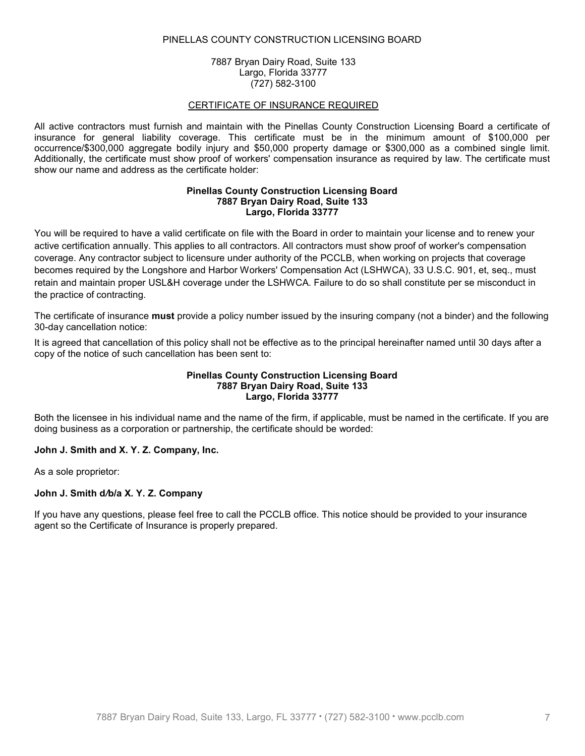#### PINELLAS COUNTY CONSTRUCTION LICENSING BOARD

7887 Bryan Dairy Road, Suite 133 Largo, Florida 33777 (727) 582-3100

#### CERTIFICATE OF INSURANCE REQUIRED

All active contractors must furnish and maintain with the Pinellas County Construction Licensing Board a certificate of insurance for general liability coverage. This certificate must be in the minimum amount of \$100,000 per occurrence/\$300,000 aggregate bodily injury and \$50,000 property damage or \$300,000 as a combined single limit. Additionally, the certificate must show proof of workers' compensation insurance as required by law. The certificate must show our name and address as the certificate holder:

#### Pinellas County Construction Licensing Board 7887 Bryan Dairy Road, Suite 133 Largo, Florida 33777

You will be required to have a valid certificate on file with the Board in order to maintain your license and to renew your active certification annually. This applies to all contractors. All contractors must show proof of worker's compensation coverage. Any contractor subject to licensure under authority of the PCCLB, when working on projects that coverage becomes required by the Longshore and Harbor Workers' Compensation Act (LSHWCA), 33 U.S.C. 901, et, seq., must retain and maintain proper USL&H coverage under the LSHWCA. Failure to do so shall constitute per se misconduct in the practice of contracting.

The certificate of insurance **must** provide a policy number issued by the insuring company (not a binder) and the following 30-day cancellation notice:

It is agreed that cancellation of this policy shall not be effective as to the principal hereinafter named until 30 days after a copy of the notice of such cancellation has been sent to:

#### Pinellas County Construction Licensing Board 7887 Bryan Dairy Road, Suite 133 Largo, Florida 33777

Both the licensee in his individual name and the name of the firm, if applicable, must be named in the certificate. If you are doing business as a corporation or partnership, the certificate should be worded:

#### John J. Smith and X. Y. Z. Company, Inc.

As a sole proprietor:

#### John J. Smith d/b/a X. Y. Z. Company

If you have any questions, please feel free to call the PCCLB office. This notice should be provided to your insurance agent so the Certificate of Insurance is properly prepared.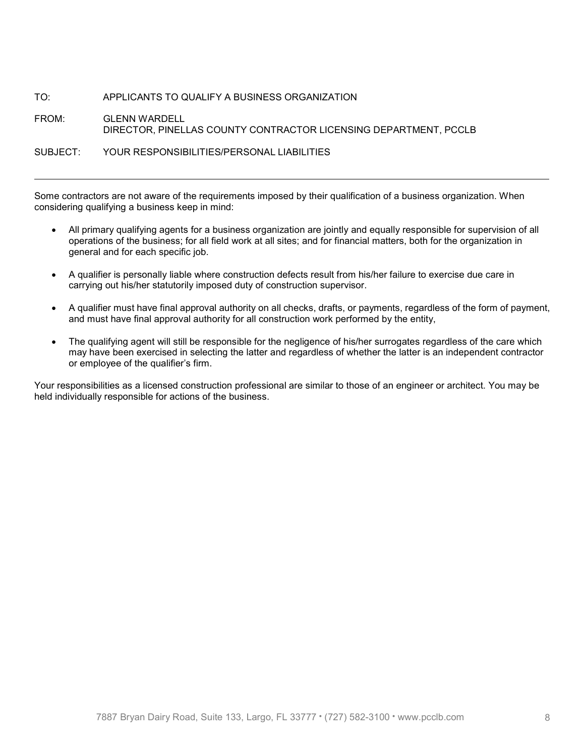# TO: APPLICANTS TO QUALIFY A BUSINESS ORGANIZATION

# FROM: GLENN WARDELL DIRECTOR, PINELLAS COUNTY CONTRACTOR LICENSING DEPARTMENT, PCCLB

### SUBJECT: YOUR RESPONSIBILITIES/PERSONAL LIABILITIES

l

Some contractors are not aware of the requirements imposed by their qualification of a business organization. When considering qualifying a business keep in mind:

- All primary qualifying agents for a business organization are jointly and equally responsible for supervision of all operations of the business; for all field work at all sites; and for financial matters, both for the organization in general and for each specific job.
- A qualifier is personally liable where construction defects result from his/her failure to exercise due care in carrying out his/her statutorily imposed duty of construction supervisor.
- A qualifier must have final approval authority on all checks, drafts, or payments, regardless of the form of payment, and must have final approval authority for all construction work performed by the entity,
- The qualifying agent will still be responsible for the negligence of his/her surrogates regardless of the care which may have been exercised in selecting the latter and regardless of whether the latter is an independent contractor or employee of the qualifier's firm.

Your responsibilities as a licensed construction professional are similar to those of an engineer or architect. You may be held individually responsible for actions of the business.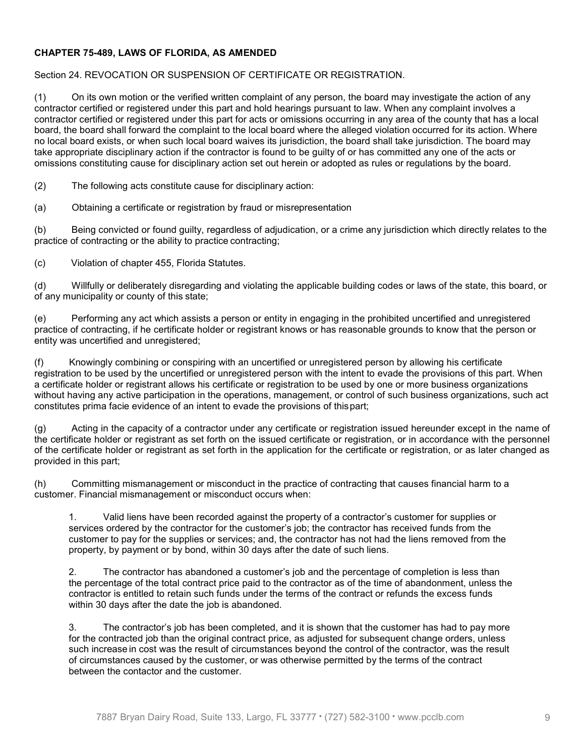# CHAPTER 75-489, LAWS OF FLORIDA, AS AMENDED

# Section 24. REVOCATION OR SUSPENSION OF CERTIFICATE OR REGISTRATION.

(1) On its own motion or the verified written complaint of any person, the board may investigate the action of any contractor certified or registered under this part and hold hearings pursuant to law. When any complaint involves a contractor certified or registered under this part for acts or omissions occurring in any area of the county that has a local board, the board shall forward the complaint to the local board where the alleged violation occurred for its action. Where no local board exists, or when such local board waives its jurisdiction, the board shall take jurisdiction. The board may take appropriate disciplinary action if the contractor is found to be guilty of or has committed any one of the acts or omissions constituting cause for disciplinary action set out herein or adopted as rules or regulations by the board.

(2) The following acts constitute cause for disciplinary action:

(a) Obtaining a certificate or registration by fraud or misrepresentation

(b) Being convicted or found guilty, regardless of adjudication, or a crime any jurisdiction which directly relates to the practice of contracting or the ability to practice contracting;

(c) Violation of chapter 455, Florida Statutes.

(d) Willfully or deliberately disregarding and violating the applicable building codes or laws of the state, this board, or of any municipality or county of this state;

(e) Performing any act which assists a person or entity in engaging in the prohibited uncertified and unregistered practice of contracting, if he certificate holder or registrant knows or has reasonable grounds to know that the person or entity was uncertified and unregistered;

(f) Knowingly combining or conspiring with an uncertified or unregistered person by allowing his certificate registration to be used by the uncertified or unregistered person with the intent to evade the provisions of this part. When a certificate holder or registrant allows his certificate or registration to be used by one or more business organizations without having any active participation in the operations, management, or control of such business organizations, such act constitutes prima facie evidence of an intent to evade the provisions of this part;

(g) Acting in the capacity of a contractor under any certificate or registration issued hereunder except in the name of the certificate holder or registrant as set forth on the issued certificate or registration, or in accordance with the personnel of the certificate holder or registrant as set forth in the application for the certificate or registration, or as later changed as provided in this part;

(h) Committing mismanagement or misconduct in the practice of contracting that causes financial harm to a customer. Financial mismanagement or misconduct occurs when:

1. Valid liens have been recorded against the property of a contractor's customer for supplies or services ordered by the contractor for the customer's job; the contractor has received funds from the customer to pay for the supplies or services; and, the contractor has not had the liens removed from the property, by payment or by bond, within 30 days after the date of such liens.

2. The contractor has abandoned a customer's job and the percentage of completion is less than the percentage of the total contract price paid to the contractor as of the time of abandonment, unless the contractor is entitled to retain such funds under the terms of the contract or refunds the excess funds within 30 days after the date the job is abandoned.

3. The contractor's job has been completed, and it is shown that the customer has had to pay more for the contracted job than the original contract price, as adjusted for subsequent change orders, unless such increase in cost was the result of circumstances beyond the control of the contractor, was the result of circumstances caused by the customer, or was otherwise permitted by the terms of the contract between the contactor and the customer.